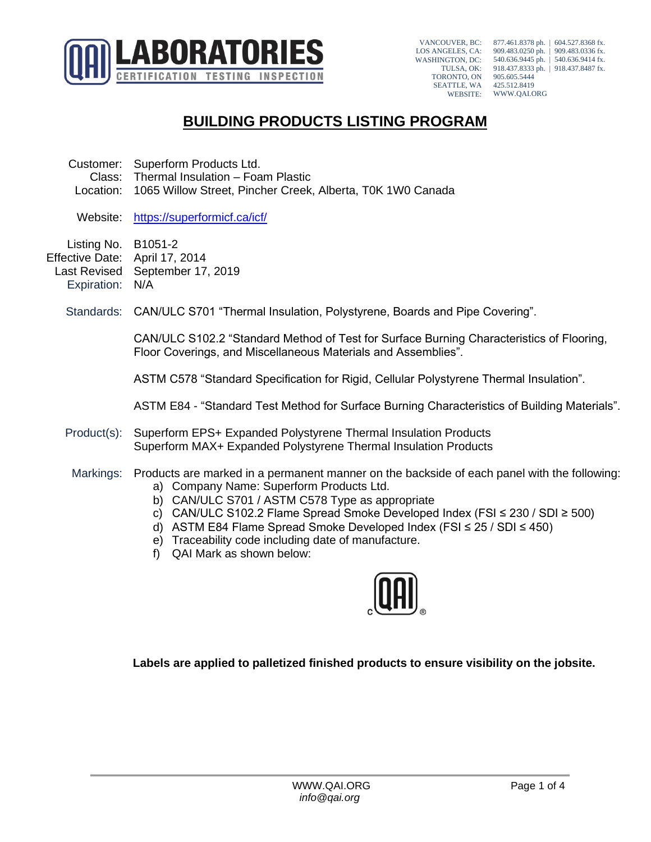

VANCOUVER, BC: LOS ANGELES, CA: WASHINGTON, DC: TULSA, OK: TORONTO, ON SEATTLE, WA WEBSITE:

877.461.8378 ph. | 604.527.8368 fx. 909.483.0250 ph. | 909.483.0336 fx. 540.636.9445 ph. | 540.636.9414 fx. 918.437.8333 ph. | 918.437.8487 fx. 905.605.5444 425.512.8419 WWW.QAI.ORG

## **BUILDING PRODUCTS LISTING PROGRAM**

- Customer: Superform Products Ltd. Class: Thermal Insulation – Foam Plastic Location: 1065 Willow Street, Pincher Creek, Alberta, T0K 1W0 Canada
	- Website: <https://superformicf.ca/icf/>
- Listing No. B1051-2 Effective Date: April 17, 2014 Last Revised September 17, 2019 Expiration: N/A
	- Standards: CAN/ULC S701 "Thermal Insulation, Polystyrene, Boards and Pipe Covering".

CAN/ULC S102.2 "Standard Method of Test for Surface Burning Characteristics of Flooring, Floor Coverings, and Miscellaneous Materials and Assemblies".

ASTM C578 "Standard Specification for Rigid, Cellular Polystyrene Thermal Insulation".

ASTM E84 - "Standard Test Method for Surface Burning Characteristics of Building Materials".

- Product(s): Superform EPS+ Expanded Polystyrene Thermal Insulation Products Superform MAX+ Expanded Polystyrene Thermal Insulation Products
- Markings: Products are marked in a permanent manner on the backside of each panel with the following: a) Company Name: Superform Products Ltd.
	- b) CAN/ULC S701 / ASTM C578 Type as appropriate
	- c) CAN/ULC S102.2 Flame Spread Smoke Developed Index (FSI ≤ 230 / SDI ≥ 500)
	- d) ASTM E84 Flame Spread Smoke Developed Index (FSI ≤ 25 / SDI ≤ 450)
	- e) Traceability code including date of manufacture.
	- f) QAI Mark as shown below:



**Labels are applied to palletized finished products to ensure visibility on the jobsite.**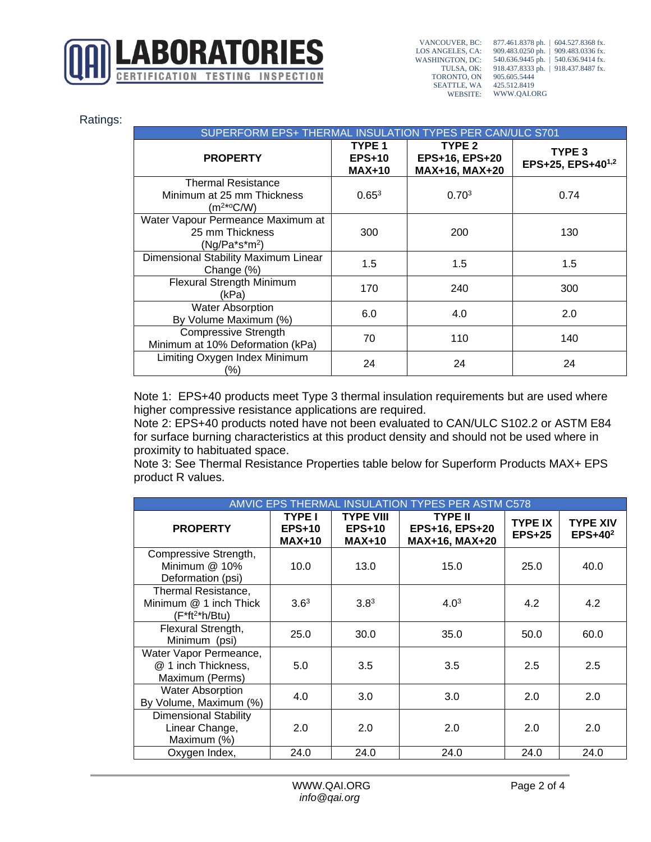

VANCOUVER, BC: LOS ANGELES, CA: WASHINGTON, DC: TULSA, OK: TORONTO, ON SEATTLE, WA WEBSITE:

877.461.8378 ph. | 604.527.8368 fx. 909.483.0250 ph. | 909.483.0336 fx. 540.636.9445 ph. | 540.636.9414 fx. 918.437.8333 ph. | 918.437.8487 fx. 905.605.5444 425.512.8419 WWW.QAI.ORG

|  | Ratings: |
|--|----------|
|  |          |
|  |          |

| SUPERFORM EPS+ THERMAL INSULATION TYPES PER CAN/ULC S701                  |                                                     |                                                       |                             |  |
|---------------------------------------------------------------------------|-----------------------------------------------------|-------------------------------------------------------|-----------------------------|--|
| <b>PROPERTY</b>                                                           | TYPE <sub>1</sub><br><b>EPS+10</b><br><b>MAX+10</b> | TYPE <sub>2</sub><br>EPS+16, EPS+20<br>MAX+16, MAX+20 | TYPE 3<br>EPS+25, EPS+401,2 |  |
| <b>Thermal Resistance</b><br>Minimum at 25 mm Thickness<br>$(m^{2*0}C/W)$ | $0.65^{3}$                                          | 0.70 <sup>3</sup>                                     | 0.74                        |  |
| Water Vapour Permeance Maximum at<br>25 mm Thickness<br>$(Ng/Pa*s*m2)$    | 300                                                 | 200                                                   | 130                         |  |
| Dimensional Stability Maximum Linear<br>Change (%)                        | 1.5                                                 | 1.5                                                   | 1.5                         |  |
| <b>Flexural Strength Minimum</b><br>(kPa)                                 | 170                                                 | 240                                                   | 300                         |  |
| <b>Water Absorption</b><br>By Volume Maximum (%)                          | 6.0                                                 | 4.0                                                   | 2.0                         |  |
| <b>Compressive Strength</b><br>Minimum at 10% Deformation (kPa)           | 70                                                  | 110                                                   | 140                         |  |
| Limiting Oxygen Index Minimum<br>(%)                                      | 24                                                  | 24                                                    | 24                          |  |

Note 1: EPS+40 products meet Type 3 thermal insulation requirements but are used where higher compressive resistance applications are required.

Note 2: EPS+40 products noted have not been evaluated to CAN/ULC S102.2 or ASTM E84 for surface burning characteristics at this product density and should not be used where in proximity to habituated space.

Note 3: See Thermal Resistance Properties table below for Superform Products MAX+ EPS product R values.

| AMVIC EPS THERMAL INSULATION TYPES PER ASTM C578                     |                                            |                                               |                                                    |                            |                               |
|----------------------------------------------------------------------|--------------------------------------------|-----------------------------------------------|----------------------------------------------------|----------------------------|-------------------------------|
| <b>PROPERTY</b>                                                      | <b>TYPE I</b><br>$EPS+10$<br><b>MAX+10</b> | <b>TYPE VIII</b><br><b>EPS+10</b><br>$MAX+10$ | <b>TYPE II</b><br>EPS+16, EPS+20<br>MAX+16, MAX+20 | <b>TYPE IX</b><br>$EPS+25$ | <b>TYPE XIV</b><br>$EPS+40^2$ |
| Compressive Strength,<br>Minimum @ 10%<br>Deformation (psi)          | 10.0                                       | 13.0                                          | 15.0                                               | 25.0                       | 40.0                          |
| Thermal Resistance,<br>Minimum @ 1 inch Thick<br>$(F^*ft^{2*}h/Btu)$ | 3.6 <sup>3</sup>                           | 3.8 <sup>3</sup>                              | 4.0 <sup>3</sup>                                   | 4.2                        | 4.2                           |
| Flexural Strength,<br>Minimum (psi)                                  | 25.0                                       | 30.0                                          | 35.0                                               | 50.0                       | 60.0                          |
| Water Vapor Permeance,<br>@ 1 inch Thickness,<br>Maximum (Perms)     | 5.0                                        | 3.5                                           | 3.5                                                | 2.5                        | 2.5                           |
| <b>Water Absorption</b><br>By Volume, Maximum (%)                    | 4.0                                        | 3.0                                           | 3.0                                                | 2.0                        | 2.0                           |
| <b>Dimensional Stability</b><br>Linear Change,<br>Maximum (%)        | 2.0                                        | 2.0                                           | 2.0                                                | 2.0                        | 2.0                           |
| Oxygen Index,                                                        | 24.0                                       | 24.0                                          | 24.0                                               | 24.0                       | 24.0                          |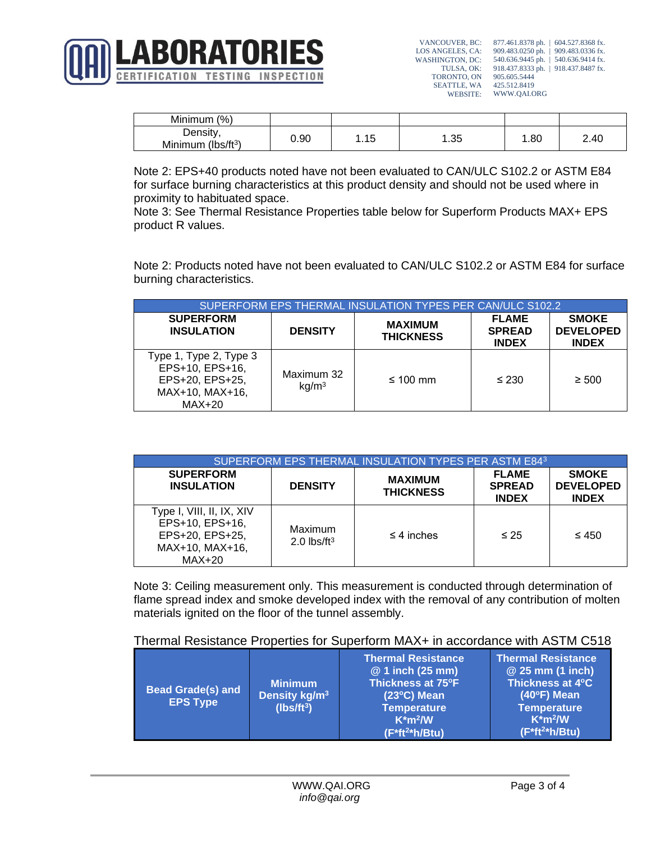

VANCOUVER, BC: LOS ANGELES, CA: WASHINGTON, DC: 540.636.9445 ph. | 540.636.9414 fx. TULSA, OK: TORONTO, ON SEATTLE, WA WEBSITE: 877.461.8378 ph. | 604.527.8368 fx. 909.483.0250 ph. | 909.483.0336 fx. 918.437.8333 ph. | 918.437.8487 fx. 905.605.5444 425.512.8419 WWW.QAI.ORG

| Minimum<br>(%)            |      |          |     |      |      |
|---------------------------|------|----------|-----|------|------|
| Density                   | 0.90 | 1 F<br>. | .35 | . 80 | 2.40 |
| $(lbs/ft^{3})$<br>Minimum |      |          |     |      |      |

Note 2: EPS+40 products noted have not been evaluated to CAN/ULC S102.2 or ASTM E84 for surface burning characteristics at this product density and should not be used where in proximity to habituated space.

Note 3: See Thermal Resistance Properties table below for Superform Products MAX+ EPS product R values.

Note 2: Products noted have not been evaluated to CAN/ULC S102.2 or ASTM E84 for surface burning characteristics.

| SUPERFORM EPS THERMAL INSULATION TYPES PER CAN/ULC S102.2                                 |                                 |                                    |                                               |                                                  |  |
|-------------------------------------------------------------------------------------------|---------------------------------|------------------------------------|-----------------------------------------------|--------------------------------------------------|--|
| <b>SUPERFORM</b><br><b>INSULATION</b>                                                     | <b>DENSITY</b>                  | <b>MAXIMUM</b><br><b>THICKNESS</b> | <b>FLAME</b><br><b>SPREAD</b><br><b>INDEX</b> | <b>SMOKE</b><br><b>DEVELOPED</b><br><b>INDEX</b> |  |
| Type 1, Type 2, Type 3<br>EPS+10, EPS+16,<br>EPS+20, EPS+25,<br>MAX+10, MAX+16,<br>MAX+20 | Maximum 32<br>kq/m <sup>3</sup> | $\leq 100$ mm                      | $\leq 230$                                    | $\geq 500$                                       |  |

| SUPERFORM EPS THERMAL INSULATION TYPES PER ASTM E843                                           |                                  |                                    |                                               |                                                  |  |  |
|------------------------------------------------------------------------------------------------|----------------------------------|------------------------------------|-----------------------------------------------|--------------------------------------------------|--|--|
| <b>SUPERFORM</b><br><b>INSULATION</b>                                                          | <b>DENSITY</b>                   | <b>MAXIMUM</b><br><b>THICKNESS</b> | <b>FLAME</b><br><b>SPREAD</b><br><b>INDEX</b> | <b>SMOKE</b><br><b>DEVELOPED</b><br><b>INDEX</b> |  |  |
| Type I, VIII, II, IX, XIV<br>EPS+10, EPS+16,<br>EPS+20, EPS+25,<br>MAX+10, MAX+16,<br>$MAX+20$ | Maximum<br>2.0 $\text{lbs/ft}^3$ | $\leq$ 4 inches                    | $\leq 25$                                     | $\leq 450$                                       |  |  |

Note 3: Ceiling measurement only. This measurement is conducted through determination of flame spread index and smoke developed index with the removal of any contribution of molten materials ignited on the floor of the tunnel assembly.

## Thermal Resistance Properties for Superform MAX+ in accordance with ASTM C518

| <b>Bead Grade(s) and</b><br><b>EPS Type</b> | <b>Minimum</b><br>Density kg/m <sup>3</sup><br>$(Ibs/ft^3)$ | <b>Thermal Resistance</b><br>@ 1 inch (25 mm)<br>Thickness at 75°F<br>$(23^{\circ}C)$ Mean<br><b>Temperature</b><br>$K*m2/W$<br>$(F * ft2 * h / Btu)$ | <b>Thermal Resistance</b><br>@ 25 mm (1 inch)<br>Thickness at 4°C<br>$(40^{\circ}F)$ Mean<br><b>Temperature</b><br>$K*m2/W$<br>$(F * ft2 * h / Btu)$ |
|---------------------------------------------|-------------------------------------------------------------|-------------------------------------------------------------------------------------------------------------------------------------------------------|------------------------------------------------------------------------------------------------------------------------------------------------------|
|---------------------------------------------|-------------------------------------------------------------|-------------------------------------------------------------------------------------------------------------------------------------------------------|------------------------------------------------------------------------------------------------------------------------------------------------------|